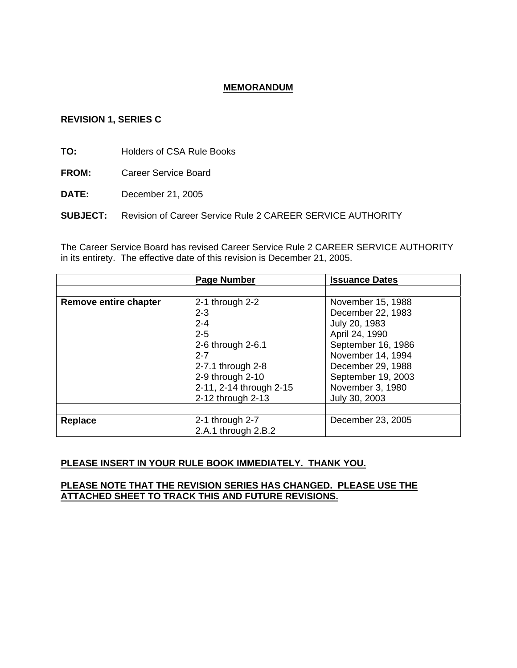# **MEMORANDUM**

#### **REVISION 1, SERIES C**

**TO:** Holders of CSA Rule Books

**FROM:** Career Service Board

**DATE:** December 21, 2005

**SUBJECT:** Revision of Career Service Rule 2 CAREER SERVICE AUTHORITY

The Career Service Board has revised Career Service Rule 2 CAREER SERVICE AUTHORITY in its entirety. The effective date of this revision is December 21, 2005.

|                       | Page Number             | <b>Issuance Dates</b> |
|-----------------------|-------------------------|-----------------------|
|                       |                         |                       |
| Remove entire chapter | 2-1 through $2-2$       | November 15, 1988     |
|                       | $2 - 3$                 | December 22, 1983     |
|                       | $2 - 4$                 | July 20, 1983         |
|                       | $2 - 5$                 | April 24, 1990        |
|                       | 2-6 through 2-6.1       | September 16, 1986    |
|                       | $2 - 7$                 | November 14, 1994     |
|                       | 2-7.1 through 2-8       | December 29, 1988     |
|                       | 2-9 through 2-10        | September 19, 2003    |
|                       | 2-11, 2-14 through 2-15 | November 3, 1980      |
|                       | 2-12 through 2-13       | July 30, 2003         |
|                       |                         |                       |
| <b>Replace</b>        | 2-1 through $2-7$       | December 23, 2005     |
|                       | 2.A.1 through 2.B.2     |                       |

### **PLEASE INSERT IN YOUR RULE BOOK IMMEDIATELY. THANK YOU.**

#### **PLEASE NOTE THAT THE REVISION SERIES HAS CHANGED. PLEASE USE THE ATTACHED SHEET TO TRACK THIS AND FUTURE REVISIONS.**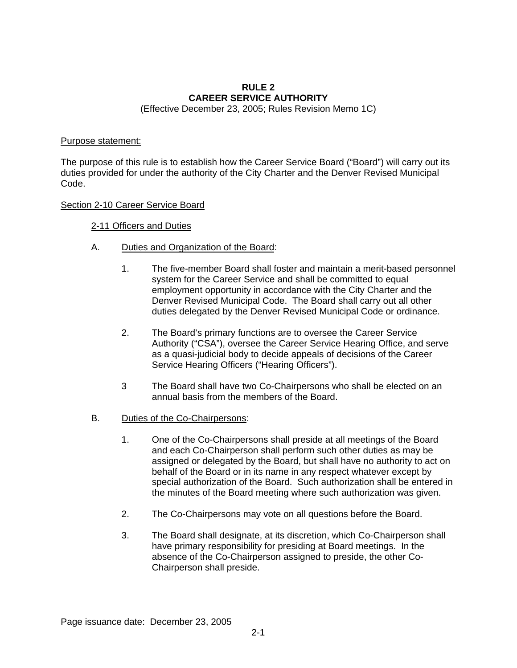# **RULE 2 CAREER SERVICE AUTHORITY**

(Effective December 23, 2005; Rules Revision Memo 1C)

# Purpose statement:

The purpose of this rule is to establish how the Career Service Board ("Board") will carry out its duties provided for under the authority of the City Charter and the Denver Revised Municipal Code.

# Section 2-10 Career Service Board

# 2-11 Officers and Duties

- A. Duties and Organization of the Board:
	- 1. The five-member Board shall foster and maintain a merit-based personnel system for the Career Service and shall be committed to equal employment opportunity in accordance with the City Charter and the Denver Revised Municipal Code. The Board shall carry out all other duties delegated by the Denver Revised Municipal Code or ordinance.
	- 2. The Board's primary functions are to oversee the Career Service Authority ("CSA"), oversee the Career Service Hearing Office, and serve as a quasi-judicial body to decide appeals of decisions of the Career Service Hearing Officers ("Hearing Officers").
	- 3 The Board shall have two Co-Chairpersons who shall be elected on an annual basis from the members of the Board.
- B. Duties of the Co-Chairpersons:
	- 1. One of the Co-Chairpersons shall preside at all meetings of the Board and each Co-Chairperson shall perform such other duties as may be assigned or delegated by the Board, but shall have no authority to act on behalf of the Board or in its name in any respect whatever except by special authorization of the Board. Such authorization shall be entered in the minutes of the Board meeting where such authorization was given.
	- 2. The Co-Chairpersons may vote on all questions before the Board.
	- 3. The Board shall designate, at its discretion, which Co-Chairperson shall have primary responsibility for presiding at Board meetings. In the absence of the Co-Chairperson assigned to preside, the other Co-Chairperson shall preside.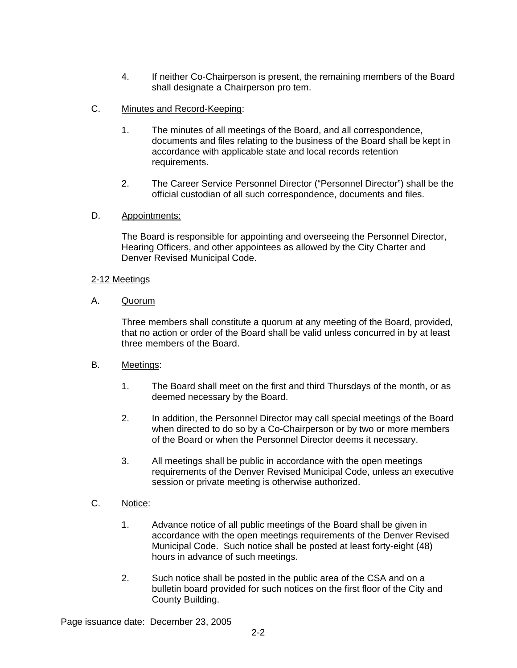4. If neither Co-Chairperson is present, the remaining members of the Board shall designate a Chairperson pro tem.

# C. Minutes and Record-Keeping:

- 1. The minutes of all meetings of the Board, and all correspondence, documents and files relating to the business of the Board shall be kept in accordance with applicable state and local records retention requirements.
- 2. The Career Service Personnel Director ("Personnel Director") shall be the official custodian of all such correspondence, documents and files.

### D. Appointments:

The Board is responsible for appointing and overseeing the Personnel Director, Hearing Officers, and other appointees as allowed by the City Charter and Denver Revised Municipal Code.

### 2-12 Meetings

A. Quorum

Three members shall constitute a quorum at any meeting of the Board, provided, that no action or order of the Board shall be valid unless concurred in by at least three members of the Board.

### B. Meetings:

- 1. The Board shall meet on the first and third Thursdays of the month, or as deemed necessary by the Board.
- 2. In addition, the Personnel Director may call special meetings of the Board when directed to do so by a Co-Chairperson or by two or more members of the Board or when the Personnel Director deems it necessary.
- 3. All meetings shall be public in accordance with the open meetings requirements of the Denver Revised Municipal Code, unless an executive session or private meeting is otherwise authorized.

# C. Notice:

- 1. Advance notice of all public meetings of the Board shall be given in accordance with the open meetings requirements of the Denver Revised Municipal Code. Such notice shall be posted at least forty-eight (48) hours in advance of such meetings.
- 2. Such notice shall be posted in the public area of the CSA and on a bulletin board provided for such notices on the first floor of the City and County Building.

Page issuance date: December 23, 2005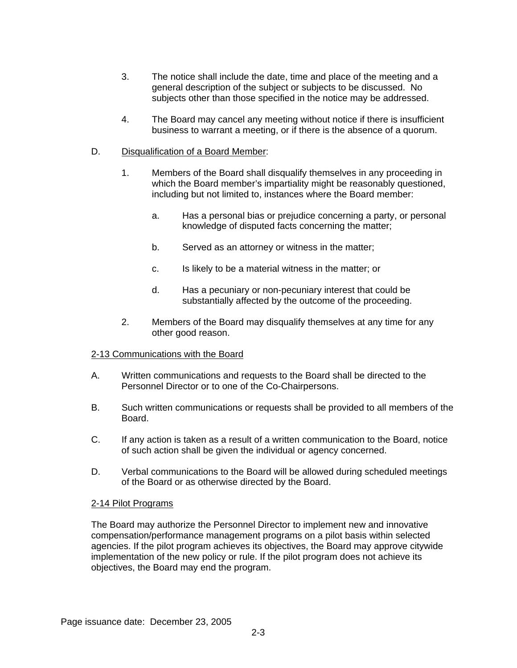- 3. The notice shall include the date, time and place of the meeting and a general description of the subject or subjects to be discussed. No subjects other than those specified in the notice may be addressed.
- 4. The Board may cancel any meeting without notice if there is insufficient business to warrant a meeting, or if there is the absence of a quorum.
- D. Disqualification of a Board Member:
	- 1. Members of the Board shall disqualify themselves in any proceeding in which the Board member's impartiality might be reasonably questioned, including but not limited to, instances where the Board member:
		- a. Has a personal bias or prejudice concerning a party, or personal knowledge of disputed facts concerning the matter;
		- b. Served as an attorney or witness in the matter;
		- c. Is likely to be a material witness in the matter; or
		- d. Has a pecuniary or non-pecuniary interest that could be substantially affected by the outcome of the proceeding.
	- 2. Members of the Board may disqualify themselves at any time for any other good reason.

#### 2-13 Communications with the Board

- A. Written communications and requests to the Board shall be directed to the Personnel Director or to one of the Co-Chairpersons.
- B. Such written communications or requests shall be provided to all members of the Board.
- C. If any action is taken as a result of a written communication to the Board, notice of such action shall be given the individual or agency concerned.
- D. Verbal communications to the Board will be allowed during scheduled meetings of the Board or as otherwise directed by the Board.

#### 2-14 Pilot Programs

The Board may authorize the Personnel Director to implement new and innovative compensation/performance management programs on a pilot basis within selected agencies. If the pilot program achieves its objectives, the Board may approve citywide implementation of the new policy or rule. If the pilot program does not achieve its objectives, the Board may end the program.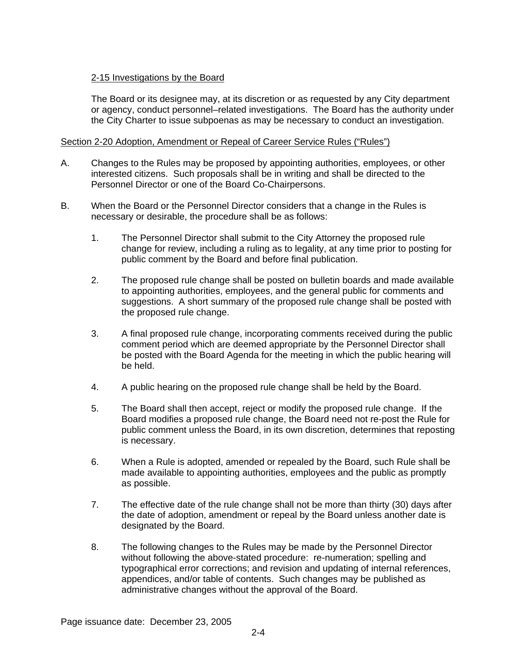# 2-15 Investigations by the Board

The Board or its designee may, at its discretion or as requested by any City department or agency, conduct personnel–related investigations. The Board has the authority under the City Charter to issue subpoenas as may be necessary to conduct an investigation.

#### Section 2-20 Adoption, Amendment or Repeal of Career Service Rules ("Rules")

- A. Changes to the Rules may be proposed by appointing authorities, employees, or other interested citizens. Such proposals shall be in writing and shall be directed to the Personnel Director or one of the Board Co-Chairpersons.
- B. When the Board or the Personnel Director considers that a change in the Rules is necessary or desirable, the procedure shall be as follows:
	- 1. The Personnel Director shall submit to the City Attorney the proposed rule change for review, including a ruling as to legality, at any time prior to posting for public comment by the Board and before final publication.
	- 2. The proposed rule change shall be posted on bulletin boards and made available to appointing authorities, employees, and the general public for comments and suggestions. A short summary of the proposed rule change shall be posted with the proposed rule change.
	- 3. A final proposed rule change, incorporating comments received during the public comment period which are deemed appropriate by the Personnel Director shall be posted with the Board Agenda for the meeting in which the public hearing will be held.
	- 4. A public hearing on the proposed rule change shall be held by the Board.
	- 5. The Board shall then accept, reject or modify the proposed rule change. If the Board modifies a proposed rule change, the Board need not re-post the Rule for public comment unless the Board, in its own discretion, determines that reposting is necessary.
	- 6. When a Rule is adopted, amended or repealed by the Board, such Rule shall be made available to appointing authorities, employees and the public as promptly as possible.
	- 7. The effective date of the rule change shall not be more than thirty (30) days after the date of adoption, amendment or repeal by the Board unless another date is designated by the Board.
	- 8. The following changes to the Rules may be made by the Personnel Director without following the above-stated procedure: re-numeration; spelling and typographical error corrections; and revision and updating of internal references, appendices, and/or table of contents. Such changes may be published as administrative changes without the approval of the Board.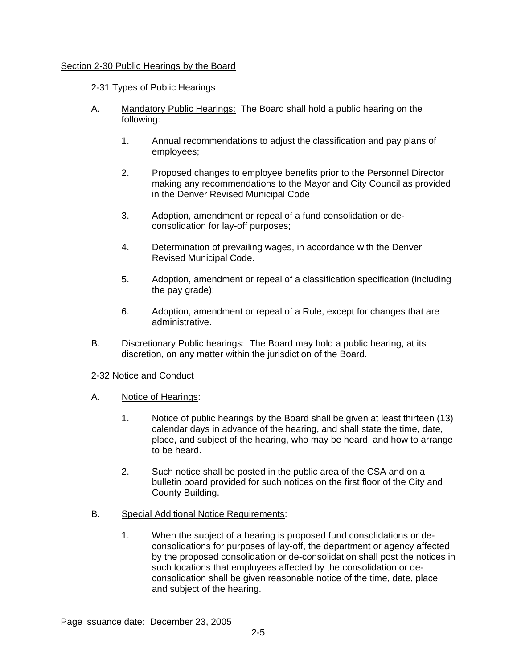### Section 2-30 Public Hearings by the Board

#### 2-31 Types of Public Hearings

- A. Mandatory Public Hearings: The Board shall hold a public hearing on the following:
	- 1. Annual recommendations to adjust the classification and pay plans of employees;
	- 2. Proposed changes to employee benefits prior to the Personnel Director making any recommendations to the Mayor and City Council as provided in the Denver Revised Municipal Code
	- 3. Adoption, amendment or repeal of a fund consolidation or deconsolidation for lay-off purposes;
	- 4. Determination of prevailing wages, in accordance with the Denver Revised Municipal Code.
	- 5. Adoption, amendment or repeal of a classification specification (including the pay grade);
	- 6. Adoption, amendment or repeal of a Rule, except for changes that are administrative.
- B. Discretionary Public hearings: The Board may hold a public hearing, at its discretion, on any matter within the jurisdiction of the Board.

#### 2-32 Notice and Conduct

- A. Notice of Hearings:
	- 1. Notice of public hearings by the Board shall be given at least thirteen (13) calendar days in advance of the hearing, and shall state the time, date, place, and subject of the hearing, who may be heard, and how to arrange to be heard.
	- 2. Such notice shall be posted in the public area of the CSA and on a bulletin board provided for such notices on the first floor of the City and County Building.
- B. Special Additional Notice Requirements:
	- 1. When the subject of a hearing is proposed fund consolidations or deconsolidations for purposes of lay-off, the department or agency affected by the proposed consolidation or de-consolidation shall post the notices in such locations that employees affected by the consolidation or deconsolidation shall be given reasonable notice of the time, date, place and subject of the hearing.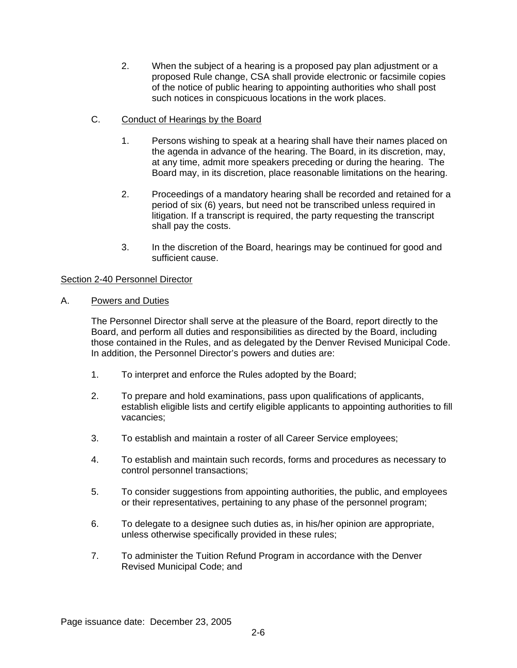- 2. When the subject of a hearing is a proposed pay plan adjustment or a proposed Rule change, CSA shall provide electronic or facsimile copies of the notice of public hearing to appointing authorities who shall post such notices in conspicuous locations in the work places.
- C. Conduct of Hearings by the Board
	- 1. Persons wishing to speak at a hearing shall have their names placed on the agenda in advance of the hearing. The Board, in its discretion, may, at any time, admit more speakers preceding or during the hearing. The Board may, in its discretion, place reasonable limitations on the hearing.
	- 2. Proceedings of a mandatory hearing shall be recorded and retained for a period of six (6) years, but need not be transcribed unless required in litigation. If a transcript is required, the party requesting the transcript shall pay the costs.
	- 3. In the discretion of the Board, hearings may be continued for good and sufficient cause.

### Section 2-40 Personnel Director

# A. Powers and Duties

The Personnel Director shall serve at the pleasure of the Board, report directly to the Board, and perform all duties and responsibilities as directed by the Board, including those contained in the Rules, and as delegated by the Denver Revised Municipal Code. In addition, the Personnel Director's powers and duties are:

- 1. To interpret and enforce the Rules adopted by the Board;
- 2. To prepare and hold examinations, pass upon qualifications of applicants, establish eligible lists and certify eligible applicants to appointing authorities to fill vacancies;
- 3. To establish and maintain a roster of all Career Service employees;
- 4. To establish and maintain such records, forms and procedures as necessary to control personnel transactions;
- 5. To consider suggestions from appointing authorities, the public, and employees or their representatives, pertaining to any phase of the personnel program;
- 6. To delegate to a designee such duties as, in his/her opinion are appropriate, unless otherwise specifically provided in these rules;
- 7. To administer the Tuition Refund Program in accordance with the Denver Revised Municipal Code; and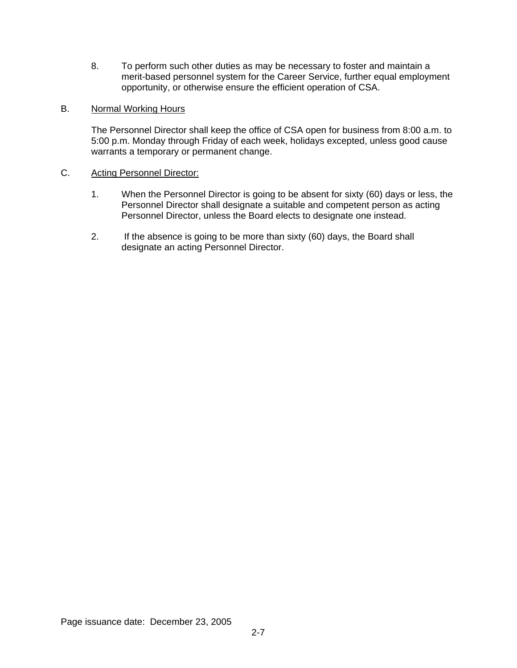8. To perform such other duties as may be necessary to foster and maintain a merit-based personnel system for the Career Service, further equal employment opportunity, or otherwise ensure the efficient operation of CSA.

### B. Normal Working Hours

The Personnel Director shall keep the office of CSA open for business from 8:00 a.m. to 5:00 p.m. Monday through Friday of each week, holidays excepted, unless good cause warrants a temporary or permanent change.

### C. Acting Personnel Director:

- 1. When the Personnel Director is going to be absent for sixty (60) days or less, the Personnel Director shall designate a suitable and competent person as acting Personnel Director, unless the Board elects to designate one instead.
- 2. If the absence is going to be more than sixty (60) days, the Board shall designate an acting Personnel Director.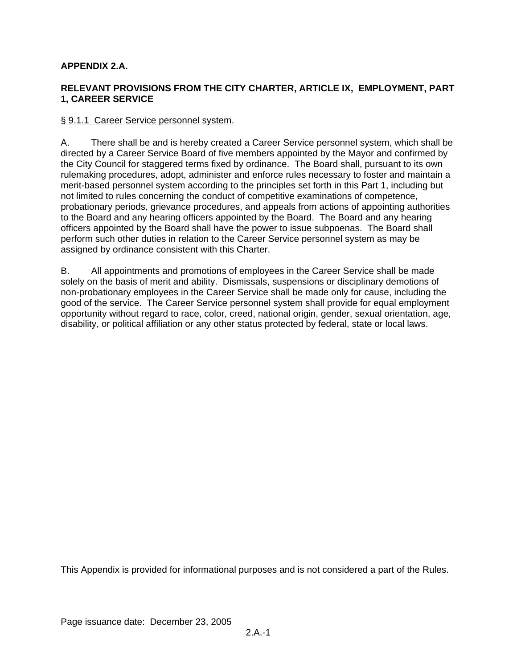# **APPENDIX 2.A.**

# **RELEVANT PROVISIONS FROM THE CITY CHARTER, ARTICLE IX, EMPLOYMENT, PART 1, CAREER SERVICE**

#### § 9.1.1 Career Service personnel system.

A. There shall be and is hereby created a Career Service personnel system, which shall be directed by a Career Service Board of five members appointed by the Mayor and confirmed by the City Council for staggered terms fixed by ordinance. The Board shall, pursuant to its own rulemaking procedures, adopt, administer and enforce rules necessary to foster and maintain a merit-based personnel system according to the principles set forth in this Part 1, including but not limited to rules concerning the conduct of competitive examinations of competence, probationary periods, grievance procedures, and appeals from actions of appointing authorities to the Board and any hearing officers appointed by the Board. The Board and any hearing officers appointed by the Board shall have the power to issue subpoenas. The Board shall perform such other duties in relation to the Career Service personnel system as may be assigned by ordinance consistent with this Charter.

B. All appointments and promotions of employees in the Career Service shall be made solely on the basis of merit and ability. Dismissals, suspensions or disciplinary demotions of non-probationary employees in the Career Service shall be made only for cause, including the good of the service. The Career Service personnel system shall provide for equal employment opportunity without regard to race, color, creed, national origin, gender, sexual orientation, age, disability, or political affiliation or any other status protected by federal, state or local laws.

This Appendix is provided for informational purposes and is not considered a part of the Rules.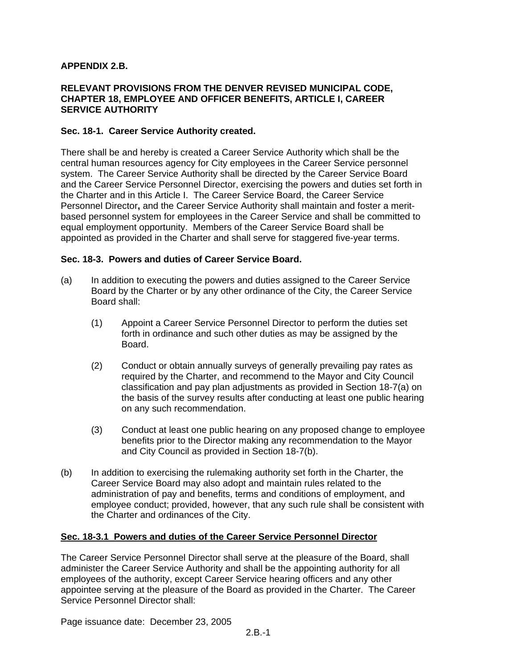### **APPENDIX 2.B.**

#### **RELEVANT PROVISIONS FROM THE DENVER REVISED MUNICIPAL CODE, CHAPTER 18, EMPLOYEE AND OFFICER BENEFITS, ARTICLE I, CAREER SERVICE AUTHORITY**

#### **Sec. 18-1. Career Service Authority created.**

There shall be and hereby is created a Career Service Authority which shall be the central human resources agency for City employees in the Career Service personnel system. The Career Service Authority shall be directed by the Career Service Board and the Career Service Personnel Director, exercising the powers and duties set forth in the Charter and in this Article I. The Career Service Board, the Career Service Personnel Director**,** and the Career Service Authority shall maintain and foster a meritbased personnel system for employees in the Career Service and shall be committed to equal employment opportunity. Members of the Career Service Board shall be appointed as provided in the Charter and shall serve for staggered five-year terms.

#### **Sec. 18-3. Powers and duties of Career Service Board.**

- (a) In addition to executing the powers and duties assigned to the Career Service Board by the Charter or by any other ordinance of the City, the Career Service Board shall:
	- (1) Appoint a Career Service Personnel Director to perform the duties set forth in ordinance and such other duties as may be assigned by the Board.
	- (2) Conduct or obtain annually surveys of generally prevailing pay rates as required by the Charter, and recommend to the Mayor and City Council classification and pay plan adjustments as provided in Section 18-7(a) on the basis of the survey results after conducting at least one public hearing on any such recommendation.
	- (3) Conduct at least one public hearing on any proposed change to employee benefits prior to the Director making any recommendation to the Mayor and City Council as provided in Section 18-7(b).
- (b) In addition to exercising the rulemaking authority set forth in the Charter, the Career Service Board may also adopt and maintain rules related to the administration of pay and benefits, terms and conditions of employment, and employee conduct; provided, however, that any such rule shall be consistent with the Charter and ordinances of the City.

#### **Sec. 18-3.1 Powers and duties of the Career Service Personnel Director**

The Career Service Personnel Director shall serve at the pleasure of the Board, shall administer the Career Service Authority and shall be the appointing authority for all employees of the authority, except Career Service hearing officers and any other appointee serving at the pleasure of the Board as provided in the Charter. The Career Service Personnel Director shall:

Page issuance date: December 23, 2005